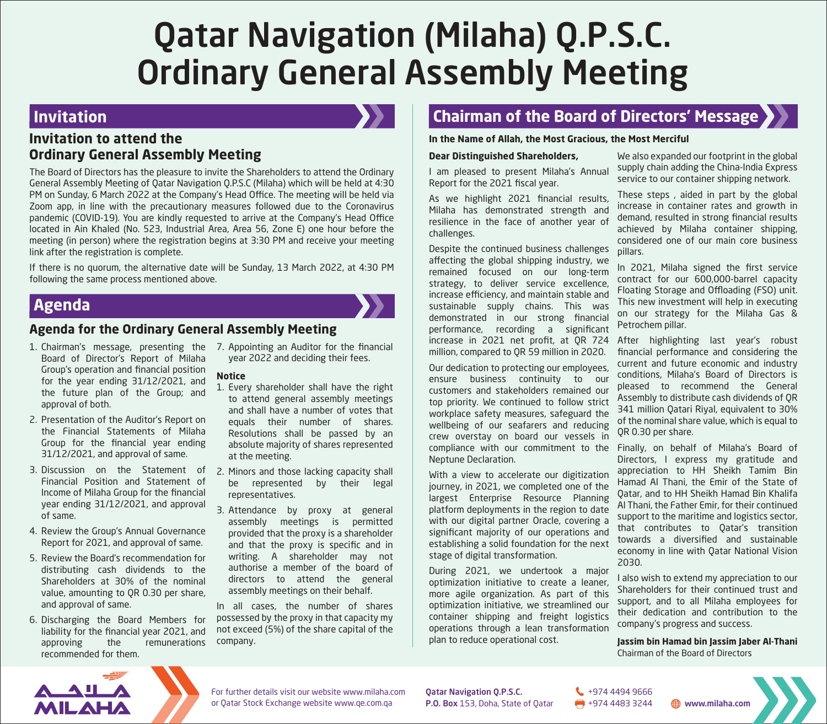# Qatar Navigation (Milaha) Q.P.S.C. Ordinary General Assembly Meeting

### **Invitation**



### **Invitation to attend the Ordinary General Assembly Meeting**

The Board of Directors has the pleasure to invite the Shareholders to attend the Ordinary General Assembly Meeting of Qatar Navigation Q.P.S.C (Milaha) which will be held at 4:30 PM on Sunday, 6 March 2022 at the Company's Head Office. The meeting will be held via Zoom app, in line with the precautionary measures followed due to the Coronavirus pandemic (COVID-19). You are kindly requested to arrive at the Company's Head Office located in Ain Khaled (No. 523, Industrial Area, Area 56, Zone E) one hour before the meeting (in person) where the registration begins at 3:30 PM and receive your meeting link after the registration is complete.

If there is no quorum, the alternative date will be Sunday, 13 March 2022, at 4:30 PM following the same process mentioned above.



#### **Agenda for the Ordinary General Assembly Meeting**

- 1. Chairman's message, presenting the 7. Appointing an Auditor for the financial Board of Director's Report of Milaha Group's operation and financial position for the year ending 31/12/2021, and the future plan of the Group; and approval of both.
- 2. Presentation of the Auditor's Report on the Financial Statements of Milaha Group for the financial year ending 31/12/2021, and approval of same.
- 3. Discussion on the Statement of Financial Position and Statement of Income of Milaha Group for the financial year ending 31/12/2021, and approval of same.
- 4. Review the Group's Annual Governance Report for 2021, and approval of same.
- 5. Review the Board's recommendation for distributing cash dividends to the Shareholders at 30% of the nominal value, amounting to QR 0.30 per share, and approval of same.
- 6. Discharging the Board Members for liability for the financial year 2021, and approving the remunerations recommended for them.

year 2022 and deciding their fees.

#### **Notice**

- 1. Every shareholder shall have the right to attend general assembly meetings and shall have a number of votes that equals their number of shares. Resolutions shall be passed by an absolute majority of shares represented at the meeting.
- 2. Minors and those lacking capacity shall be represented by their legal representatives.
- 3. Attendance by proxy at general assembly meetings is permitted provided that the proxy is a shareholder and that the proxy is specific and in writing. A shareholder may not authorise a member of the board of directors to attend the general assembly meetings on their behalf.

In all cases, the number of shares possessed by the proxy in that capacity my not exceed (5%) of the share capital of the company.

## **Chairman of the Board of Directors' Message**

#### **In the Name of Allah, the Most Gracious, the Most Merciful**

#### **Dear Distinguished Shareholders,**

I am pleased to present Milaha's Annual Report for the 2021 fiscal year.

As we highlight 2021 financial results, Milaha has demonstrated strength and resilience in the face of another year of challenges.

Despite the continued business challenges affecting the global shipping industry, we remained focused on our long-term strategy, to deliver service excellence, increase efficiency, and maintain stable and sustainable supply chains. This was demonstrated in our strong financial performance, recording a significant increase in 2021 net profit, at QR 724 million, compared to QR 59 million in 2020.

Our dedication to protecting our employees, ensure business continuity to our customers and stakeholders remained our top priority. We continued to follow strict workplace safety measures, safeguard the wellbeing of our seafarers and reducing crew overstay on board our vessels in Neptune Declaration.

With a view to accelerate our digitization journey, in 2021, we completed one of the largest Enterprise Resource Planning platform deployments in the region to date with our digital partner Oracle, covering a significant majority of our operations and establishing a solid foundation for the next stage of digital transformation.

During 2021, we undertook a major optimization initiative to create a leaner, more agile organization. As part of this optimization initiative, we streamlined our container shipping and freight logistics operations through a lean transformation plan to reduce operational cost.

We also expanded our footprint in the global supply chain adding the China-India Express service to our container shipping network.

These steps , aided in part by the global increase in container rates and growth in demand, resulted in strong financial results achieved by Milaha container shipping, considered one of our main core business pillars.

In 2021, Milaha signed the first service contract for our 600,000-barrel capacity Floating Storage and Offloading (FSO) unit. This new investment will help in executing on our strategy for the Milaha Gas & Petrochem pillar.

After highlighting last year's robust financial performance and considering the current and future economic and industry conditions, Milaha's Board of Directors is pleased to recommend the General Assembly to distribute cash dividends of QR 341 million Qatari Riyal, equivalent to 30% of the nominal share value, which is equal to QR 0.30 per share.

compliance with our commitment to the Finally, on behalf of Milaha's Board of Directors, I express my gratitude and appreciation to HH Sheikh Tamim Bin Hamad Al Thani, the Emir of the State of Qatar, and to HH Sheikh Hamad Bin Khalifa Al Thani, the Father Emir, for their continued support to the maritime and logistics sector, that contributes to Qatar's transition towards a diversified and sustainable economy in line with Qatar National Vision 2030.

> I also wish to extend my appreciation to our Shareholders for their continued trust and support, and to all Milaha employees for their dedication and contribution to the company's progress and success.

> **Jassim bin Hamad bin Jassim Jaber Al-Thani** Chairman of the Board of Directors





Qatar Navigation Q.P.S.C. P.O. Box 153, Doha, State of Qatar +974 4494 9666 +974 4483 3244 www.milaha.com

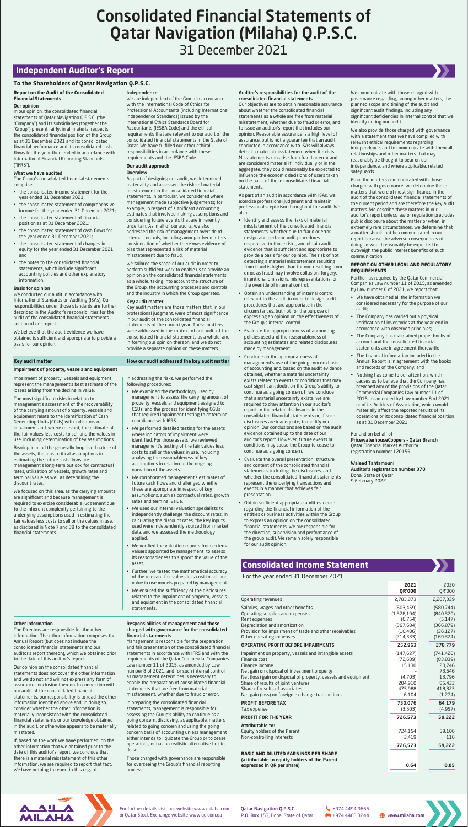#### **To the Shareholders of Qatar Navigation Q.P.S.C.**

|                                                                                                                                                                                                                                                                                                                                      | 2021<br><b>OR'000</b>                                                          | 2020<br><b>QR'000</b>                                                                |
|--------------------------------------------------------------------------------------------------------------------------------------------------------------------------------------------------------------------------------------------------------------------------------------------------------------------------------------|--------------------------------------------------------------------------------|--------------------------------------------------------------------------------------|
| Operating revenues                                                                                                                                                                                                                                                                                                                   | 2,783,873                                                                      | 2,267,329                                                                            |
| Salaries, wages and other benefits<br>Operating supplies and expenses<br>Rent expenses<br>Depreciation and amortization<br>Provision for impairment of trade and other receivables<br>Other operating expenses                                                                                                                       | (603, 459)<br>(1,328,194)<br>(6, 754)<br>(367, 684)<br>(10, 486)<br>(214, 333) | (580, 744)<br>(840,329)<br>(5, 147)<br>(366, 879)<br>(26, 127)<br>(169, 324)         |
| <b>OPERATING PROFIT BEFORE IMPAIRMENTS</b>                                                                                                                                                                                                                                                                                           | 252,963                                                                        | 278,779                                                                              |
| Impairment on property, vessels and intangible assets<br>Finance cost<br>Finance income<br>Net gain on disposal of investment property<br>Net (loss) gain on disposal of property, vessels and equipment<br>Share of results of joint ventures<br>Share of results of associates<br>Net gain (loss) on foreign exchange transactions | (147, 627)<br>(72, 689)<br>15,130<br>(4,703)<br>204,910<br>475,988<br>6,104    | (741, 420)<br>(83,839)<br>20,746<br>73,646<br>13,796<br>85,422<br>418,323<br>(1,274) |
| <b>PROFIT BEFORE TAX</b><br>Tax expense                                                                                                                                                                                                                                                                                              | 730,076<br>(3,503)                                                             | 64,179<br>(4,957)                                                                    |
| <b>PROFIT FOR THE YEAR</b>                                                                                                                                                                                                                                                                                                           | 726,573                                                                        | 59,222                                                                               |
| <b>Attributable to:</b><br>Equity holders of the Parent<br>Non-controlling interests                                                                                                                                                                                                                                                 | 724,154<br>2,419<br>726,573                                                    | 59,106<br>116<br>59,222                                                              |
| <b>BASIC AND DILUTED EARNINGS PER SHARE</b><br>(attributable to equity holders of the Parent<br>expressed in QR per share)                                                                                                                                                                                                           | 0.64                                                                           | 0.05                                                                                 |



#### **Report on the Audit of the Consolidated Financial Statements**

#### Our opinion

In our opinion, the consolidated financial statements of Qatar Navigation Q.P.S.C. (the "Company") and its subsidiaries (together the "Group") present fairly, in all material respects, the consolidated financial position of the Group as at 31 December 2021 and its consolidated financial performance and its consolidated cash flows for the year then ended in accordance with International Financial Reporting Standards ("IFRS").

#### **Our audit approach Overview**

#### What we have audited

The Group's consolidated financial statements comprise:

- the consolidated income statement for the year ended 31 December 2021;
- the consolidated statement of comprehensive income for the year ended 31 December 2021;
- the consolidated statement of financial position as at 31 December 2021;
- the consolidated statement of cash flows for the year ended 31 December 2021;
- the consolidated statement of changes in equity for the year ended 31 December 2021; and
- the notes to the consolidated financial statements, which include significant accounting policies and other explanatory information.

#### Basis for opinion

We conducted our audit in accordance with International Standards on Auditing (ISAs). Our responsibilities under those standards are further described in the Auditor's responsibilities for the audit of the consolidated financial statements section of our report.

We believe that the audit evidence we have obtained is sufficient and appropriate to provide a basis for our opinion.

#### Independence

We are independent of the Group in accordance with the International Code of Ethics for Professional Accountants (including International Independence Standards) issued by the International Ethics Standards Board for Accountants (IESBA Code) and the ethical requirements that are relevant to our audit of the consolidated financial statements in the State of Qatar. We have fulfilled our other ethical responsibilities in accordance with these requirements and the IESBA Code.

As part of designing our audit, we determined materiality and assessed the risks of material misstatement in the consolidated financial statements. In particular, we considered where management made subjective judgements; for example, in respect of significant accounting estimates that involved making assumptions and considering future events that are inherently uncertain. As in all of our audits, we also addressed the risk of management override of internal controls, including among other matters consideration of whether there was evidence of bias that represented a risk of material misstatement due to fraud.

We tailored the scope of our audit in order to perform sufficient work to enable us to provide an opinion on the consolidated financial statements as a whole, taking into account the structure of the Group, the accounting processes and controls, and the industry in which the Group operates.

#### Key audit matter

Key audit matters are those matters that, in our professional judgment, were of most significance in our audit of the consolidated financial statements of the current year. These matters were addressed in the context of our audit of the consolidated financial statements as a whole, and in forming our opinion thereon, and we do not provide a separate opinion on these matters.

#### **Key audit matter How our audit addressed the key audit matter**

In addressing the risks, we performed the following procedures:

- We examined the methodology used by management to assess the carrying amount of property, vessels and equipment assigned to CGUs, and the process for identifying CGUs that required impairment testing to determine compliance with IFRS.
- We performed detailed testing for the assets where indicators of impairment were identified. For those assets, we reviewed management's testing of the fair values less costs to sell or the values in use, including analysing the reasonableness of key assumptions in relation to the ongoing operation of the assets.
- We corroborated management's estimates of future cash flows and challenged whether these are appropriate in respect of key assumptions, such as contractual rates, growth rates and terminal value.
- We used our internal valuation specialists to independently challenge the discount rates. In calculating the discount rates, the key inputs used were independently sourced from market

data, and we assessed the methodology applied.

- We verified the valuation reports from external valuers appointed by management to assess its reasonableness to support the value of the asset.
- Further, we tested the mathematical accuracy of the relevant fair values less cost to sell and value in use models prepared by management.
- We ensured the sufficiency of the disclosures related to the impairment of property, vessels and equipment in the consolidated financial statements.

Impairment of property, vessels and equipment represent the management's best estimate of the losses arising from the decline in value.

The most significant risks in relation to management's assessment of the recoverability of the carrying amount of property, vessels and equipment relate to the identification of Cash Generating Units (CGUs) with indicators of impairment and, where relevant, the estimate of the fair values less costs to sell and the values in use, including determination of key assumptions.

Bearing in mind the generally long-lived nature of the assets, the most critical assumptions in estimating the future cash flows are management's long-term outlook for contractual rates, utilization of vessels, growth rates and terminal value as well as determining the discount rates.

We focused on this area, as the carrying amounts are significant and because management is required to exercise considerable judgement due to the inherent complexity pertaining to the underlying assumptions used in estimating the fair values less costs to sell or the values in use, as disclosed in Note 7 and 38 to the consolidated

financial statements.

#### Responsibilities of management and those charged with governance for the consolidated financial statements

Management is responsible for the preparation and fair presentation of the consolidated financial statements in accordance with IFRS and with the requirements of the Qatar Commercial Companies Law number 11 of 2015, as amended by Law number 8 of 2021, and for such internal control as management determines is necessary to enable the preparation of consolidated financial statements that are free from material misstatement, whether due to fraud or error.

In preparing the consolidated financial statements, management is responsible for assessing the Group's ability to continue as a going concern, disclosing, as applicable, matters related to going concern and using the going concern basis of accounting unless management either intends to liquidate the Group or to cease operations, or has no realistic alternative but to do so.

Those charged with governance are responsible for overseeing the Group's financial reporting process.

Other information

The Directors are responsible for the other information. The other information comprises the Annual Report (but does not include the consolidated financial statements and our auditor's report thereon), which we obtained prior to the date of this auditor's report.

Our opinion on the consolidated financial statements does not cover the other information and we do not and will not express any form of assurance conclusion thereon. In connection with our audit of the consolidated financial statements, our responsibility is to read the other information identified above and, in doing so, consider whether the other information is materially inconsistent with the consolidated financial statements or our knowledge obtained in the audit, or otherwise appears to be materially misstated.

If, based on the work we have performed, on the other information that we obtained prior to the date of this auditor's report, we conclude that there is a material misstatement of this other information, we are required to report that fact. We have nothing to report in this regard.

#### Auditor's responsibilities for the audit of the consolidated financial statements

Our objectives are to obtain reasonable assurance about whether the consolidated financial statements as a whole are free from material misstatement, whether due to fraud or error, and to issue an auditor's report that includes our opinion. Reasonable assurance is a high level of assurance, but is not a guarantee that an audit conducted in accordance with ISAs will always detect a material misstatement when it exists. Misstatements can arise from fraud or error and are considered material if, individually or in the aggregate, they could reasonably be expected to influence the economic decisions of users taken on the basis of these consolidated financial statements.

As part of an audit in accordance with ISAs, we exercise professional judgment and maintain professional scepticism throughout the audit. We also:

- Identify and assess the risks of material misstatement of the consolidated financial statements, whether due to fraud or error, design and perform audit procedures responsive to those risks, and obtain audit evidence that is sufficient and appropriate to provide a basis for our opinion. The risk of not detecting a material misstatement resulting from fraud is higher than for one resulting from error, as fraud may involve collusion, forgery, intentional omissions, misrepresentations, or the override of internal control.
- Obtain an understanding of internal control relevant to the audit in order to design audit procedures that are appropriate in the circumstances, but not for the purpose of expressing an opinion on the effectiveness of the Group's internal control.
- Evaluate the appropriateness of accounting policies used and the reasonableness of accounting estimates and related disclosures made by management.
- Conclude on the appropriateness of management's use of the going concern basis of accounting and, based on the audit evidence obtained, whether a material uncertainty exists related to events or conditions that may cast significant doubt on the Group's ability to continue as a going concern. If we conclude that a material uncertainty exists, we are required to draw attention in our auditor's report to the related disclosures in the consolidated financial statements or, if such disclosures are inadequate, to modify our opinion. Our conclusions are based on the audit evidence obtained up to the date of our auditor's report. However, future events or conditions may cause the Group to cease to continue as a going concern.
- Evaluate the overall presentation, structure and content of the consolidated financial statements, including the disclosures, and whether the consolidated financial statements represent the underlying transactions and events in a manner that achieves fair presentation.
- Obtain sufficient appropriate audit evidence regarding the financial information of the entities or business activities within the Group to express an opinion on the consolidated financial statements. We are responsible for

the direction, supervision and performance of the group audit. We remain solely responsible for our audit opinion.

We communicate with those charged with governance regarding, among other matters, the planned scope and timing of the audit and significant audit findings, including any significant deficiencies in internal control that we identify during our audit.

We also provide those charged with governance with a statement that we have complied with relevant ethical requirements regarding independence, and to communicate with them all relationships and other matters that may reasonably be thought to bear on our independence, and where applicable, related safeguards.

From the matters communicated with those charged with governance, we determine those matters that were of most significance in the audit of the consolidated financial statements of the current period and are therefore the key audit matters. We describe these matters in our auditor's report unless law or regulation precludes public disclosure about the matter or when, in extremely rare circumstances, we determine that a matter should not be communicated in our report because the adverse consequences of doing so would reasonably be expected to outweigh the public interest benefits of such communication.

#### **REPORT ON OTHER LEGAL AND REGULATORY REQUIREMENTS**

Further, as required by the Qatar Commercial Companies Law number 11 of 2015, as amended by Law number 8 of 2021, we report that:

- We have obtained all the information we considered necessary for the purpose of our audit;
- The Company has carried out a physical verification of inventories at the year-end in accordance with observed principles;
- The Company has maintained proper books of account and the consolidated financial statements are in agreement therewith;
- The financial information included in the Annual Report is in agreement with the books and records of the Company; and
- Nothing has come to our attention, which causes us to believe that the Company has breached any of the provisions of the Qatar Commercial Companies Law number 11 of 2015, as amended by Law number 8 of 2021, or of its Articles of Association, which would materially affect the reported results of its operations or its consolidated financial position as at 31 December 2021.

For and on behalf of PricewaterhouseCoopers – Qatar Branch Qatar Financial Market Authority registration number 120155

Waleed Tahtamouni Auditor's registration number 370 Doha, State of Qatar 9 February 2022

## Consolidated Financial Statements of Qatar Navigation (Milaha) Q.P.S.C. 31 December 2021

## **Independent Auditor's Report**

## **Consolidated Income Statement**

For the year ended 31 December 2021

#### Impairment of property, vessels and equipment

For further details visit our website www.milaha.com or Qatar Stock Exchange website www.qe.com.qa

Qatar Navigation Q.P.S.C. P.O. Box 153, Doha, State of Qatar  $\leftarrow$  +974 4494 9666  $\rightarrow$  +974 4483 3244  $\quad$  www.milaha.com